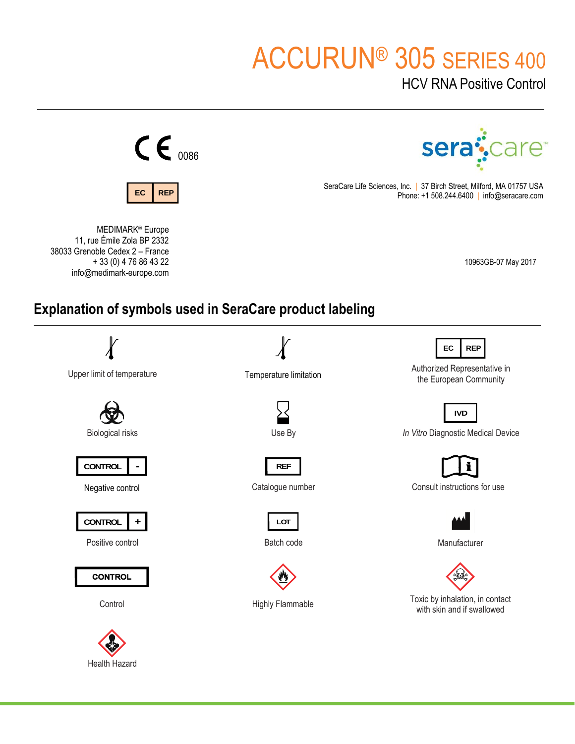# ACCURUN® 305 SERIES 400

HCV RNA Positive Control



Health Hazard